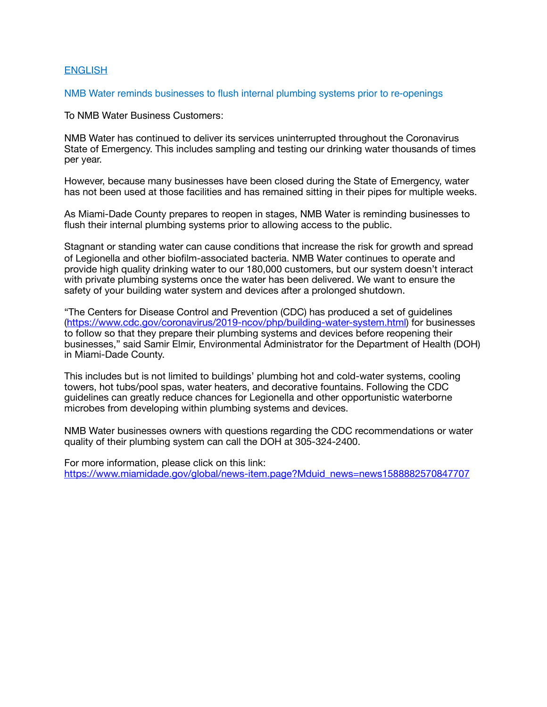# **ENGLISH**

### NMB Water reminds businesses to flush internal plumbing systems prior to re-openings

To NMB Water Business Customers:

NMB Water has continued to deliver its services uninterrupted throughout the Coronavirus State of Emergency. This includes sampling and testing our drinking water thousands of times per year.

However, because many businesses have been closed during the State of Emergency, water has not been used at those facilities and has remained sitting in their pipes for multiple weeks.

As Miami-Dade County prepares to reopen in stages, NMB Water is reminding businesses to flush their internal plumbing systems prior to allowing access to the public.

Stagnant or standing water can cause conditions that increase the risk for growth and spread of Legionella and other biofilm-associated bacteria. NMB Water continues to operate and provide high quality drinking water to our 180,000 customers, but our system doesn't interact with private plumbing systems once the water has been delivered. We want to ensure the safety of your building water system and devices after a prolonged shutdown.

"The Centers for Disease Control and Prevention (CDC) has produced a set of guidelines ([https://www.cdc.gov/coronavirus/2019-ncov/php/building-water-system.html\)](https://www.cdc.gov/coronavirus/2019-ncov/php/building-water-system.html) for businesses to follow so that they prepare their plumbing systems and devices before reopening their businesses," said Samir Elmir, Environmental Administrator for the Department of Health (DOH) in Miami-Dade County.

This includes but is not limited to buildings' plumbing hot and cold-water systems, cooling towers, hot tubs/pool spas, water heaters, and decorative fountains. Following the CDC guidelines can greatly reduce chances for Legionella and other opportunistic waterborne microbes from developing within plumbing systems and devices.

NMB Water businesses owners with questions regarding the CDC recommendations or water quality of their plumbing system can call the DOH at 305-324-2400.

For more information, please click on this link: [https://www.miamidade.gov/global/news-item.page?Mduid\\_news=news1588882570847707](https://www.miamidade.gov/global/news-item.page?Mduid_news=news1588882570847707)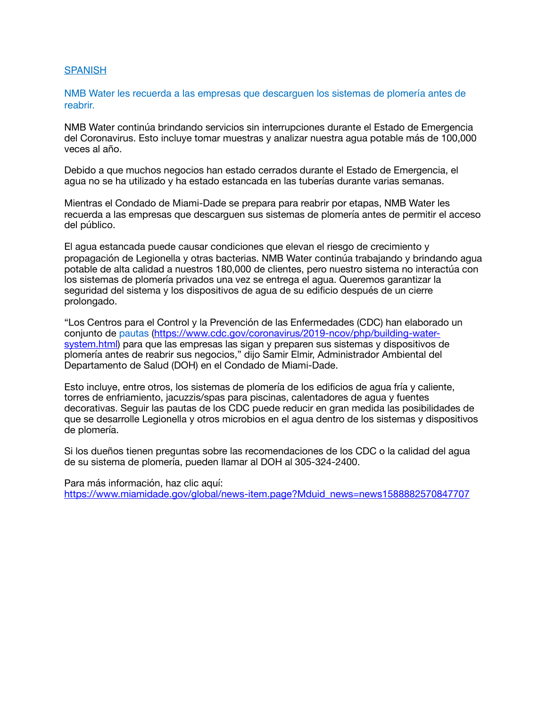### **SPANISH**

NMB Water les recuerda a las empresas que descarguen los sistemas de plomería antes de reabrir.

NMB Water continúa brindando servicios sin interrupciones durante el Estado de Emergencia del Coronavirus. Esto incluye tomar muestras y analizar nuestra agua potable más de 100,000 veces al año.

Debido a que muchos negocios han estado cerrados durante el Estado de Emergencia, el agua no se ha utilizado y ha estado estancada en las tuberías durante varias semanas.

Mientras el Condado de Miami-Dade se prepara para reabrir por etapas, NMB Water les recuerda a las empresas que descarguen sus sistemas de plomería antes de permitir el acceso del público.

El agua estancada puede causar condiciones que elevan el riesgo de crecimiento y propagación de Legionella y otras bacterias. NMB Water continúa trabajando y brindando agua potable de alta calidad a nuestros 180,000 de clientes, pero nuestro sistema no interactúa con los sistemas de plomería privados una vez se entrega el agua. Queremos garantizar la seguridad del sistema y los dispositivos de agua de su edificio después de un cierre prolongado.

"Los Centros para el Control y la Prevención de las Enfermedades (CDC) han elaborado un conjunto de pautas (https://www.cdc.gov/coronavirus/2019-ncov/php/building-water[system.html\) para que las empresas las sigan y preparen sus sistemas y dispositivos d](https://www.cdc.gov/coronavirus/2019-ncov/php/building-water-system.html)e plomería antes de reabrir sus negocios," dijo Samir Elmir, Administrador Ambiental del Departamento de Salud (DOH) en el Condado de Miami-Dade.

Esto incluye, entre otros, los sistemas de plomería de los edificios de agua fría y caliente, torres de enfriamiento, jacuzzis/spas para piscinas, calentadores de agua y fuentes decorativas. Seguir las pautas de los CDC puede reducir en gran medida las posibilidades de que se desarrolle Legionella y otros microbios en el agua dentro de los sistemas y dispositivos de plomería.

Si los dueños tienen preguntas sobre las recomendaciones de los CDC o la calidad del agua de su sistema de plomería, pueden llamar al DOH al 305-324-2400.

Para más información, haz clic aquí: [https://www.miamidade.gov/global/news-item.page?Mduid\\_news=news1588882570847707](https://www.miamidade.gov/global/news-item.page?Mduid_news=news1588882570847707)